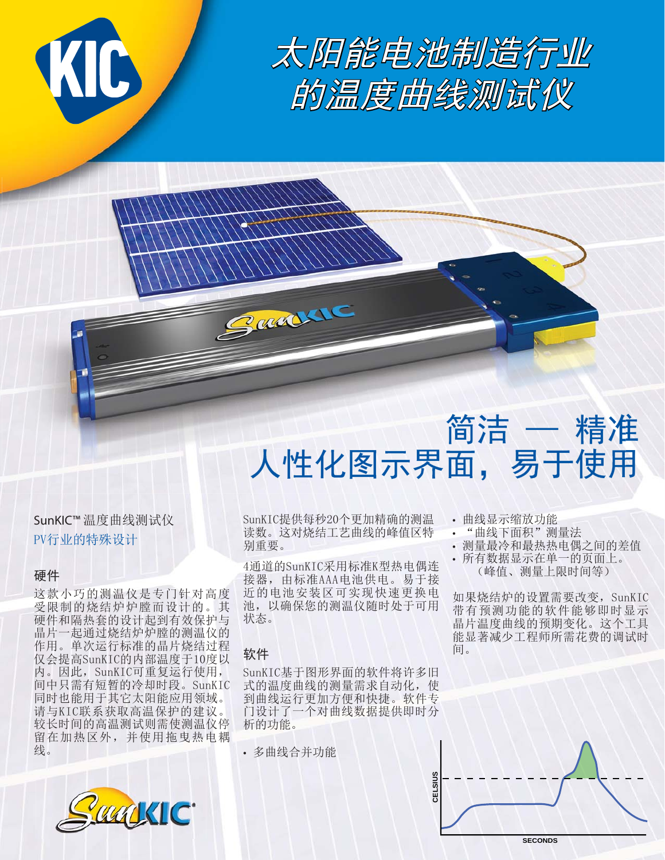

太阳能电池制造行业 的温度曲线测试仪

# 简洁 — 精准 人性化图示界面,易于使用

SunKIC™ 温度曲线测试仪 PV行业的特殊设计

### 硬件

这款小巧的测温仪是专门针对高度 受限制的烧结炉炉膛而设计的。其 硬件和隔热套的设计起到有效保护与 晶片一起通过烧结炉炉膛的测温仪的 作用。单次运行标准的晶片烧结过程 仅会提高SunKIC的内部温度于10度以 内。因此, SunKIC可重复运行使用, 间中只需有短暂的冷却时段。SunKIC 同时也能用于其它太阳能应用领域。 请与KIC联系获取高温保护的建议。 较长时间的高温测试则需使测温仪停 留在加热区外,并使用拖曳热电耦 线。



SunKIC提供每秒20个更加精确的测温 读数。这对烧结工艺曲线的峰值区特 别重要。

4通道的SunKIC采用标准K型热电偶连 接器, 由标准AAA电池供电。易于接 近的电池安装区可实现快速更换电 池, 以确保您的测温仪随时处于可用 状态。

## 软件

SunKIC基于图形界面的软件将许多旧 式的温度曲线的测量需求自动化, 使 到曲线运行更加方便和快捷。软件专 门设计了一个对曲线数据提供即时分 析的功能。

• 多曲线合并功能

Garden

- 曲线显示缩放功能
- "曲线下面积"测量法
- 测量最冷和最热热电偶之间的差值
- 所有数据显示在单一的页面上。 (峰值、测量上限时间等)

如果烧结炉的设置需要改变, SunKIC 带有预测功能的软件能够即时显示 晶片温度曲线的预期变化。这个工具 能显著减少工程师所需花费的调试时 间。